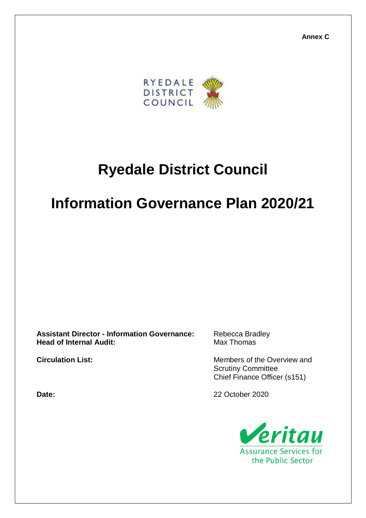**Annex C**



# **Ryedale District Council**

# **Information Governance Plan 2020/21**

**Assistant Director - Information Governance:** Rebecca Bradley **Head of Internal Audit:** Max Thomas

**Circulation List:** Circulation List: Members of the Overview and Scrutiny Committee Chief Finance Officer (s151)

**Date:** 22 October 2020

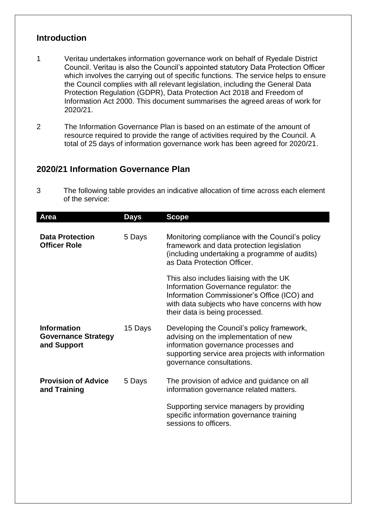### **Introduction**

- 1 Veritau undertakes information governance work on behalf of Ryedale District Council. Veritau is also the Council's appointed statutory Data Protection Officer which involves the carrying out of specific functions. The service helps to ensure the Council complies with all relevant legislation, including the General Data Protection Regulation (GDPR), Data Protection Act 2018 and Freedom of Information Act 2000. This document summarises the agreed areas of work for 2020/21.
- 2 The Information Governance Plan is based on an estimate of the amount of resource required to provide the range of activities required by the Council. A total of 25 days of information governance work has been agreed for 2020/21.

### **2020/21 Information Governance Plan**

3 The following table provides an indicative allocation of time across each element of the service:

| Area                                                            | <b>Days</b> | <b>Scope</b>                                                                                                                                                                                                       |
|-----------------------------------------------------------------|-------------|--------------------------------------------------------------------------------------------------------------------------------------------------------------------------------------------------------------------|
| <b>Data Protection</b><br><b>Officer Role</b>                   | 5 Days      | Monitoring compliance with the Council's policy<br>framework and data protection legislation<br>(including undertaking a programme of audits)<br>as Data Protection Officer.                                       |
|                                                                 |             | This also includes liaising with the UK<br>Information Governance regulator: the<br>Information Commissioner's Office (ICO) and<br>with data subjects who have concerns with how<br>their data is being processed. |
| <b>Information</b><br><b>Governance Strategy</b><br>and Support | 15 Days     | Developing the Council's policy framework,<br>advising on the implementation of new<br>information governance processes and<br>supporting service area projects with information<br>governance consultations.      |
| <b>Provision of Advice</b><br>and Training                      | 5 Days      | The provision of advice and guidance on all<br>information governance related matters.<br>Supporting service managers by providing<br>specific information governance training<br>sessions to officers.            |
|                                                                 |             |                                                                                                                                                                                                                    |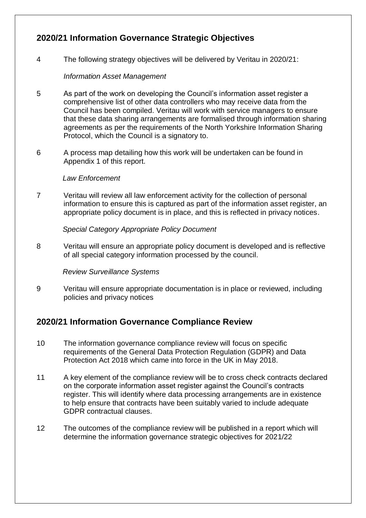## **2020/21 Information Governance Strategic Objectives**

4 The following strategy objectives will be delivered by Veritau in 2020/21:

#### *Information Asset Management*

- 5 As part of the work on developing the Council's information asset register a comprehensive list of other data controllers who may receive data from the Council has been compiled. Veritau will work with service managers to ensure that these data sharing arrangements are formalised through information sharing agreements as per the requirements of the North Yorkshire Information Sharing Protocol, which the Council is a signatory to.
- 6 A process map detailing how this work will be undertaken can be found in Appendix 1 of this report.

#### *Law Enforcement*

7 Veritau will review all law enforcement activity for the collection of personal information to ensure this is captured as part of the information asset register, an appropriate policy document is in place, and this is reflected in privacy notices.

*Special Category Appropriate Policy Document* 

8 Veritau will ensure an appropriate policy document is developed and is reflective of all special category information processed by the council.

*Review Surveillance Systems* 

9 Veritau will ensure appropriate documentation is in place or reviewed, including policies and privacy notices

## **2020/21 Information Governance Compliance Review**

- 10 The information governance compliance review will focus on specific requirements of the General Data Protection Regulation (GDPR) and Data Protection Act 2018 which came into force in the UK in May 2018.
- 11 A key element of the compliance review will be to cross check contracts declared on the corporate information asset register against the Council's contracts register. This will identify where data processing arrangements are in existence to help ensure that contracts have been suitably varied to include adequate GDPR contractual clauses.
- 12 The outcomes of the compliance review will be published in a report which will determine the information governance strategic objectives for 2021/22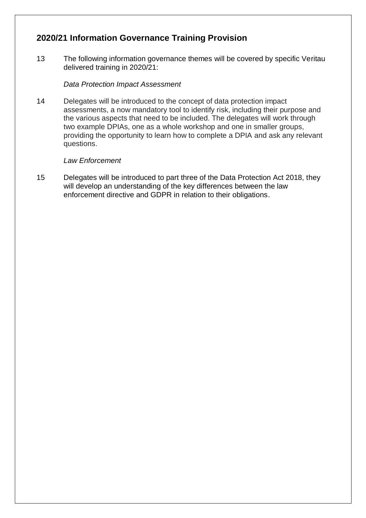## **2020/21 Information Governance Training Provision**

13 The following information governance themes will be covered by specific Veritau delivered training in 2020/21:

#### *Data Protection Impact Assessment*

14 Delegates will be introduced to the concept of data protection impact assessments, a now mandatory tool to identify risk, including their purpose and the various aspects that need to be included. The delegates will work through two example DPIAs, one as a whole workshop and one in smaller groups, providing the opportunity to learn how to complete a DPIA and ask any relevant questions.

#### *Law Enforcement*

15 Delegates will be introduced to part three of the Data Protection Act 2018, they will develop an understanding of the key differences between the law enforcement directive and GDPR in relation to their obligations.